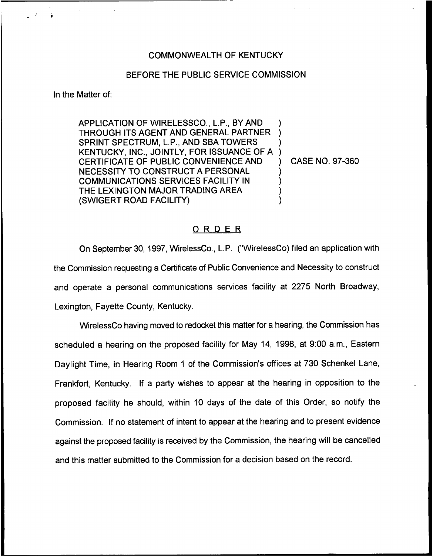## COMMONWEALTH OF KENTUCKY

## BEFORE THE PUBLIC SERVICE COMMISSION

In the Matter of:

APPLICATION OF WIRELESSCO., L.P., BY AND THROUGH ITS AGENT AND GENERAL PARTNER SPRINT SPECTRUM, L.P., AND SBA TOWERS KENTUCKY, INC., JOINTLY, FOR ISSUANCE OF A CERTIFICATE OF PUBLIC CONVENIENCE AND NECESSITY TO CONSTRUCT A PERSONAL COMMUNICATIONS SERVICES FACILITY IN THE LEXINGTON MAJOR TRADING AREA (SWIGERT ROAD FACILITY) ) ) ) ) ) ) ) )

) CASE NO. 97-360

## ORDER

On September 30, 1997, WirelessCo., L.P. ('WirelessCo) filed an application with the Commission requesting a Certificate of Public Convenience and Necessity to construct and operate a personal communications services facility at 2275 North Broadway, Lexington, Fayette County, Kentucky.

WirelessCo having moved to redocket this matter for a hearing, the Commission has scheduled a hearing on the proposed facility for May 14, 1998, at 9:00 a.m., Eastern Daylight Time, in Hearing Room <sup>1</sup> of the Commission's offices at 730 Schenkel Lane, Frankfort, Kentucky. If a party wishes to appear at the hearing in opposition to the proposed facility he should, within 10 days of the date of this Order, so notify the Commission. If no statement of intent to appear at the hearing and to present evidence against the proposed facility is received by the Commission, the hearing will be cancelled and this matter submitted to the Commission for a decision based on the record.